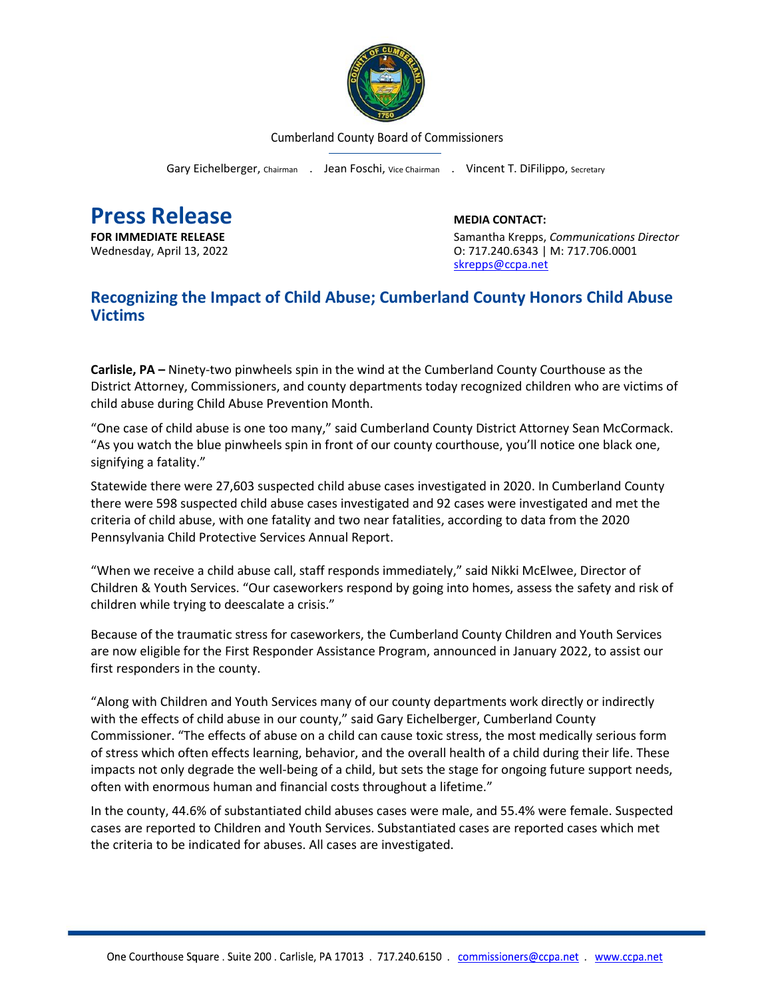

Cumberland County Board of Commissioners

Gary Eichelberger, Chairman . Jean Foschi, Vice Chairman . Vincent T. DiFilippo, Secretary

**Press Release**<br> **Press Release**<br> **EDIA CONTACT:**<br>
Samantha Krepps.

**FOR IMMEDIATE RELEASE** Samantha Krepps, *Communications Director* Wednesday, April 13, 2022 O: 717.240.6343 | M: 717.706.0001 [skrepps@ccpa.net](mailto:skrepps@ccpa.net)

## **Recognizing the Impact of Child Abuse; Cumberland County Honors Child Abuse Victims**

**Carlisle, PA –** Ninety-two pinwheels spin in the wind at the Cumberland County Courthouse as the District Attorney, Commissioners, and county departments today recognized children who are victims of child abuse during Child Abuse Prevention Month.

"One case of child abuse is one too many," said Cumberland County District Attorney Sean McCormack. "As you watch the blue pinwheels spin in front of our county courthouse, you'll notice one black one, signifying a fatality."

Statewide there were 27,603 suspected child abuse cases investigated in 2020. In Cumberland County there were 598 suspected child abuse cases investigated and 92 cases were investigated and met the criteria of child abuse, with one fatality and two near fatalities, according to data from the 2020 Pennsylvania Child Protective Services Annual Report.

"When we receive a child abuse call, staff responds immediately," said Nikki McElwee, Director of Children & Youth Services. "Our caseworkers respond by going into homes, assess the safety and risk of children while trying to deescalate a crisis."

Because of the traumatic stress for caseworkers, the Cumberland County Children and Youth Services are now eligible for the First Responder Assistance Program, announced in January 2022, to assist our first responders in the county.

"Along with Children and Youth Services many of our county departments work directly or indirectly with the effects of child abuse in our county," said Gary Eichelberger, Cumberland County Commissioner. "The effects of abuse on a child can cause toxic stress, the most medically serious form of stress which often effects learning, behavior, and the overall health of a child during their life. These impacts not only degrade the well-being of a child, but sets the stage for ongoing future support needs, often with enormous human and financial costs throughout a lifetime."

In the county, 44.6% of substantiated child abuses cases were male, and 55.4% were female. Suspected cases are reported to Children and Youth Services. Substantiated cases are reported cases which met the criteria to be indicated for abuses. All cases are investigated.